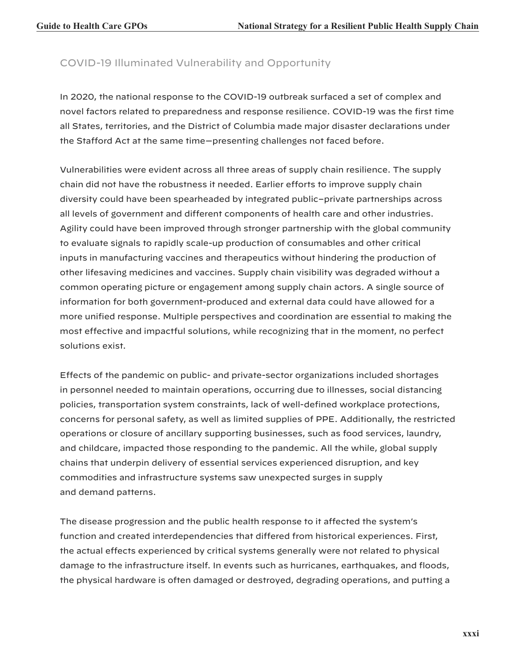# COVID-19 Illuminated Vulnerability and Opportunity

In 2020, the national response to the COVID-19 outbreak surfaced a set of complex and novel factors related to preparedness and response resilience. COVID-19 was the first time all States, territories, and the District of Columbia made major disaster declarations under the Stafford Act at the same time—presenting challenges not faced before.

Vulnerabilities were evident across all three areas of supply chain resilience. The supply chain did not have the robustness it needed. Earlier efforts to improve supply chain diversity could have been spearheaded by integrated public–private partnerships across all levels of government and different components of health care and other industries. Agility could have been improved through stronger partnership with the global community to evaluate signals to rapidly scale-up production of consumables and other critical inputs in manufacturing vaccines and therapeutics without hindering the production of other lifesaving medicines and vaccines. Supply chain visibility was degraded without a common operating picture or engagement among supply chain actors. A single source of information for both government-produced and external data could have allowed for a more unified response. Multiple perspectives and coordination are essential to making the most effective and impactful solutions, while recognizing that in the moment, no perfect solutions exist.

Effects of the pandemic on public- and private-sector organizations included shortages in personnel needed to maintain operations, occurring due to illnesses, social distancing policies, transportation system constraints, lack of well-defined workplace protections, concerns for personal safety, as well as limited supplies of PPE. Additionally, the restricted operations or closure of ancillary supporting businesses, such as food services, laundry, and childcare, impacted those responding to the pandemic. All the while, global supply chains that underpin delivery of essential services experienced disruption, and key commodities and infrastructure systems saw unexpected surges in supply and demand patterns.

The disease progression and the public health response to it affected the system's function and created interdependencies that differed from historical experiences. First, the actual effects experienced by critical systems generally were not related to physical damage to the infrastructure itself. In events such as hurricanes, earthquakes, and floods, the physical hardware is often damaged or destroyed, degrading operations, and putting a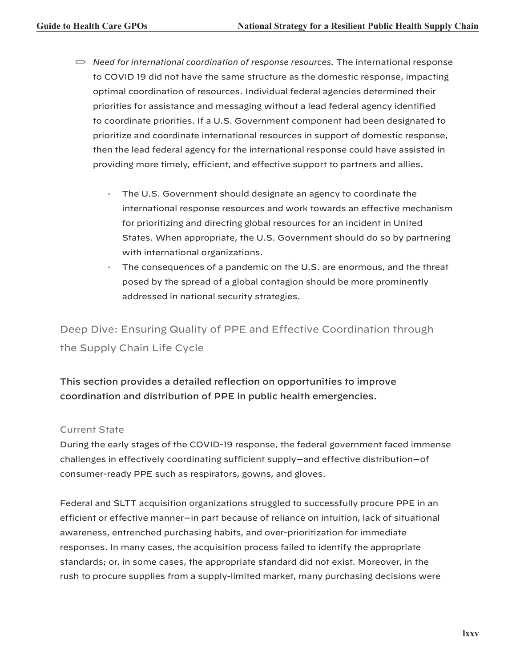- *Need for international coordination of response resources.* The international response to COVID 19 did not have the same structure as the domestic response, impacting optimal coordination of resources. Individual federal agencies determined their priorities for assistance and messaging without a lead federal agency identified to coordinate priorities. If a U.S. Government component had been designated to prioritize and coordinate international resources in support of domestic response, then the lead federal agency for the international response could have assisted in providing more timely, efficient, and effective support to partners and allies.
	- The U.S. Government should designate an agency to coordinate the international response resources and work towards an effective mechanism for prioritizing and directing global resources for an incident in United States. When appropriate, the U.S. Government should do so by partnering with international organizations.
	- The consequences of a pandemic on the U.S. are enormous, and the threat posed by the spread of a global contagion should be more prominently addressed in national security strategies.

Deep Dive: Ensuring Quality of PPE and Effective Coordination through the Supply Chain Life Cycle

# This section provides a detailed reflection on opportunities to improve coordination and distribution of PPE in public health emergencies.

# Current State

During the early stages of the COVID-19 response, the federal government faced immense challenges in effectively coordinating sufficient supply—and effective distribution—of consumer-ready PPE such as respirators, gowns, and gloves.

Federal and SLTT acquisition organizations struggled to successfully procure PPE in an efficient or effective manner—in part because of reliance on intuition, lack of situational awareness, entrenched purchasing habits, and over-prioritization for immediate responses. In many cases, the acquisition process failed to identify the appropriate standards; or, in some cases, the appropriate standard did not exist. Moreover, in the rush to procure supplies from a supply-limited market, many purchasing decisions were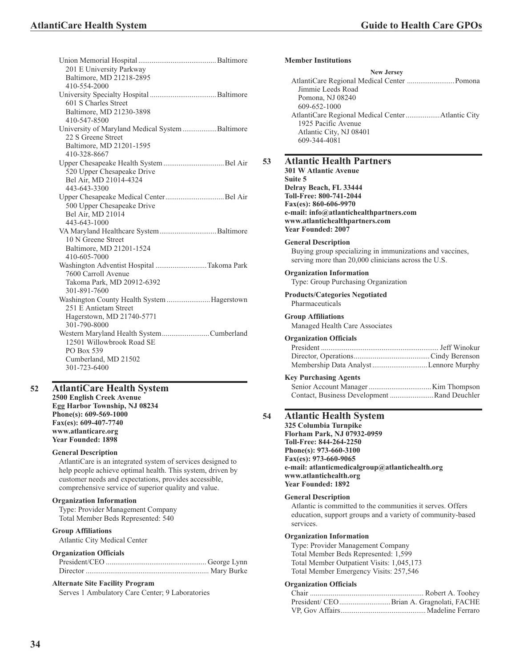| 201 E University Parkway<br>Baltimore, MD 21218-2895<br>410-554-2000                                                        |  |
|-----------------------------------------------------------------------------------------------------------------------------|--|
| 601 S Charles Street<br>Baltimore, MD 21230-3898<br>410-547-8500                                                            |  |
| University of Maryland Medical System Baltimore<br>22 S Greene Street<br>Baltimore, MD 21201-1595<br>410-328-8667           |  |
| 520 Upper Chesapeake Drive<br>Bel Air, MD 21014-4324<br>443-643-3300                                                        |  |
| 500 Upper Chesapeake Drive<br>Bel Air, MD 21014<br>443-643-1000                                                             |  |
| VA Maryland Healthcare System Baltimore<br>10 N Greene Street<br>Baltimore, MD 21201-1524<br>410-605-7000                   |  |
| Washington Adventist Hospital Takoma Park<br>7600 Carroll Avenue<br>Takoma Park, MD 20912-6392<br>301-891-7600              |  |
| Washington County Health System Hagerstown<br>251 E Antietam Street<br>Hagerstown, MD 21740-5771<br>301-790-8000            |  |
| Western Maryland Health SystemCumberland<br>12501 Willowbrook Road SE<br>PO Box 539<br>Cumberland, MD 21502<br>301-723-6400 |  |
|                                                                                                                             |  |

#### **52 AtlantiCare Health System 2500 English Creek Avenue**

**Egg Harbor Township, NJ 08234 Phone(s): 609-569-1000 Fax(es): 609-407-7740 www.atlanticare.org Year Founded: 1898**

#### **General Description**

AtlantiCare is an integrated system of services designed to help people achieve optimal health. This system, driven by customer needs and expectations, provides accessible, comprehensive service of superior quality and value.

#### **Organization Information**

Type: Provider Management Company Total Member Beds Represented: 540

# **Group Affiliations**

Atlantic City Medical Center

### **Organization Officials**

# **Alternate Site Facility Program**

Serves 1 Ambulatory Care Center; 9 Laboratories

#### **Member Institutions**

| <b>New Jersey</b>       |  |
|-------------------------|--|
|                         |  |
| Jimmie Leeds Road       |  |
| Pomona, NJ 08240        |  |
| 609-652-1000            |  |
|                         |  |
| 1925 Pacific Avenue     |  |
| Atlantic City, NJ 08401 |  |
| 609-344-4081            |  |
|                         |  |

### **53 Atlantic Health Partners**

**301 W Atlantic Avenue Suite 5 Delray Beach, FL 33444 Toll-Free: 800-741-2044 Fax(es): 860-606-9970 e-mail: info@atlantichealthpartners.com www.atlantichealthpartners.com Year Founded: 2007**

#### **General Description**

Buying group specializing in immunizations and vaccines, serving more than 20,000 clinicians across the U.S.

#### **Organization Information**

Type: Group Purchasing Organization

**Products/Categories Negotiated** Pharmaceuticals

#### **Group Affiliations**

Managed Health Care Associates

#### **Organization Officials**

### **Key Purchasing Agents**

| Contact, Business Development Rand Deuchler |  |
|---------------------------------------------|--|

# **54 Atlantic Health System**

**325 Columbia Turnpike Florham Park, NJ 07932-0959 Toll-Free: 844-264-2250 Phone(s): 973-660-3100 Fax(es): 973-660-9065 e-mail: atlanticmedicalgroup@atlantichealth.org www.atlantichealth.org Year Founded: 1892**

#### **General Description**

Atlantic is committed to the communities it serves. Offers education, support groups and a variety of community-based services.

#### **Organization Information**

Type: Provider Management Company Total Member Beds Represented: 1,599 Total Member Outpatient Visits: 1,045,173 Total Member Emergency Visits: 257,546

#### **Organization Officials**

| President/ CEOBrian A. Gragnolati, FACHE |  |
|------------------------------------------|--|
|                                          |  |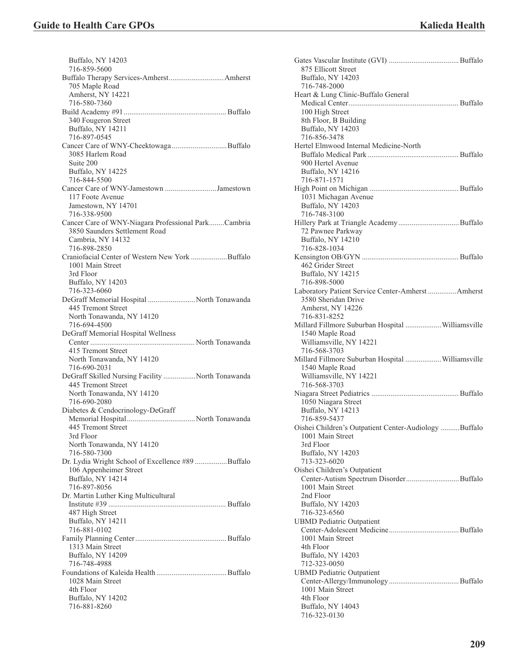| 716-859-5600                                                           |
|------------------------------------------------------------------------|
|                                                                        |
| 705 Maple Road                                                         |
| Amherst, NY 14221                                                      |
| 716-580-7360                                                           |
|                                                                        |
| 340 Fougeron Street                                                    |
| Buffalo, NY 14211                                                      |
| 716-897-0545                                                           |
|                                                                        |
| 3085 Harlem Road                                                       |
| Suite 200                                                              |
| Buffalo, NY 14225                                                      |
| 716-844-5500                                                           |
| Cancer Care of WNY-Jamestown Jamestown                                 |
| 117 Foote Avenue                                                       |
| Jamestown, NY 14701                                                    |
| 716-338-9500                                                           |
| Cancer Care of WNY-Niagara Professional ParkCambria                    |
| 3850 Saunders Settlement Road                                          |
| Cambria, NY 14132                                                      |
| 716-898-2850                                                           |
| Craniofacial Center of Western New York Buffalo                        |
| 1001 Main Street                                                       |
| 3rd Floor                                                              |
| Buffalo, NY 14203                                                      |
| 716-323-6060                                                           |
| DeGraff Memorial Hospital  North Tonawanda                             |
| 445 Tremont Street                                                     |
| North Tonawanda, NY 14120<br>716-694-4500                              |
| DeGraff Memorial Hospital Wellness                                     |
|                                                                        |
|                                                                        |
|                                                                        |
| 415 Tremont Street                                                     |
| North Tonawanda, NY 14120                                              |
| 716-690-2031                                                           |
| DeGraff Skilled Nursing Facility North Tonawanda<br>445 Tremont Street |
| North Tonawanda, NY 14120                                              |
| 716-690-2080                                                           |
| Diabetes & Cendocrinology-DeGraff                                      |
|                                                                        |
| 445 Tremont Street                                                     |
| 3rd Floor                                                              |
| North Tonawanda, NY 14120                                              |
| 716-580-7300                                                           |
| Dr. Lydia Wright School of Excellence #89 Buffalo                      |
| 106 Appenheimer Street                                                 |
| Buffalo, NY 14214                                                      |
| 716-897-8056                                                           |
| Dr. Martin Luther King Multicultural                                   |
|                                                                        |
| 487 High Street                                                        |
| Buffalo, NY 14211                                                      |
| 716-881-0102                                                           |
|                                                                        |
| 1313 Main Street                                                       |
| Buffalo, NY 14209                                                      |
| 716-748-4988                                                           |
|                                                                        |
| 1028 Main Street                                                       |
| 4th Floor                                                              |
| Buffalo, NY 14202<br>716-881-8260                                      |

| 875 Ellicott Street                                   |
|-------------------------------------------------------|
| Buffalo, NY 14203                                     |
| 716-748-2000                                          |
| Heart & Lung Clinic-Buffalo General                   |
|                                                       |
| 100 High Street                                       |
| 8th Floor, B Building                                 |
| Buffalo, NY 14203                                     |
| 716-856-3478                                          |
| Hertel Elmwood Internal Medicine-North                |
|                                                       |
| 900 Hertel Avenue                                     |
| Buffalo, NY 14216                                     |
| 716-871-1571                                          |
|                                                       |
| 1031 Michagan Avenue                                  |
| Buffalo, NY 14203                                     |
| 716-748-3100                                          |
|                                                       |
| 72 Pawnee Parkway                                     |
| Buffalo, NY 14210                                     |
| 716-828-1034                                          |
|                                                       |
| 462 Grider Street                                     |
| Buffalo, NY 14215                                     |
| 716-898-5000                                          |
| Laboratory Patient Service Center-Amherst  Amherst    |
| 3580 Sheridan Drive                                   |
| Amherst, NY 14226                                     |
| 716-831-8252                                          |
| Millard Fillmore Suburban Hospital Williamsville      |
| 1540 Maple Road                                       |
| Williamsville, NY 14221                               |
| 716-568-3703                                          |
| Millard Fillmore Suburban Hospital Williamsville      |
| 1540 Maple Road                                       |
|                                                       |
| Williamsville, NY 14221                               |
| 716-568-3703                                          |
|                                                       |
| 1050 Niagara Street                                   |
| Buffalo, NY 14213                                     |
| 716-859-5437                                          |
| Oishei Children's Outpatient Center-Audiology Buffalo |
| 1001 Main Street                                      |
| 3rd Floor                                             |
| Buffalo, NY 14203                                     |
| 713-323-6020                                          |
| Oishei Children's Outpatient                          |
|                                                       |
| 1001 Main Street                                      |
| 2nd Floor                                             |
| Buffalo, NY 14203                                     |
| 716-323-6560                                          |
| <b>UBMD</b> Pediatric Outpatient                      |
|                                                       |
| 1001 Main Street                                      |
| 4th Floor                                             |
| Buffalo, NY 14203                                     |
| 712-323-0050                                          |
| <b>UBMD</b> Pediatric Outpatient                      |
|                                                       |
| 1001 Main Street                                      |
| 4th Floor                                             |
| Buffalo, NY 14043<br>716-323-0130                     |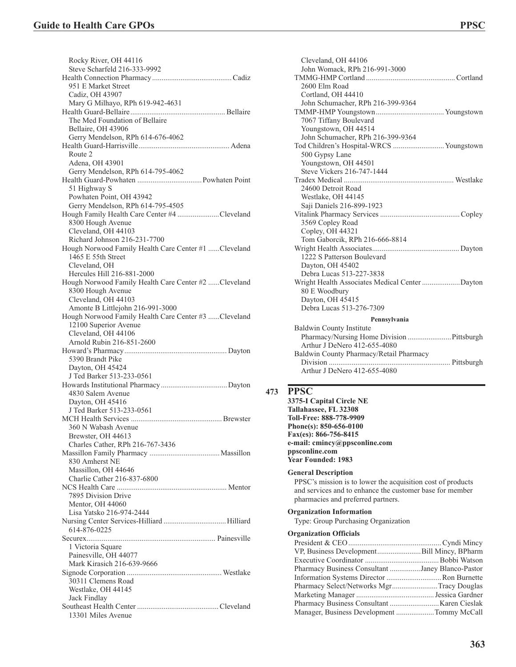| Rocky River, OH 44116<br>Steve Scharfeld 216-333-9992                      |
|----------------------------------------------------------------------------|
|                                                                            |
| 951 E Market Street                                                        |
| Cadiz, OH 43907                                                            |
| Mary G Milhayo, RPh 619-942-4631                                           |
|                                                                            |
| The Med Foundation of Bellaire                                             |
| Bellaire, OH 43906                                                         |
| Gerry Mendelson, RPh 614-676-4062                                          |
|                                                                            |
| Route 2                                                                    |
| Adena, OH 43901                                                            |
| Gerry Mendelson, RPh 614-795-4062                                          |
|                                                                            |
| 51 Highway S                                                               |
| Powhaten Point, OH 43942                                                   |
| Gerry Mendelson, RPh 614-795-4505                                          |
| Hough Family Health Care Center #4 Cleveland                               |
| 8300 Hough Avenue                                                          |
| Cleveland, OH 44103                                                        |
| Richard Johnson 216-231-7700                                               |
| Hough Norwood Family Health Care Center #1 Cleveland<br>1465 E 55th Street |
| Cleveland, OH                                                              |
| Hercules Hill 216-881-2000                                                 |
| Hough Norwood Family Health Care Center #2 Cleveland                       |
| 8300 Hough Avenue                                                          |
| Cleveland, OH 44103                                                        |
| Amonte B Littlejohn 216-991-3000                                           |
| Hough Norwood Family Health Care Center #3 Cleveland                       |
| 12100 Superior Avenue                                                      |
| Cleveland, OH 44106                                                        |
|                                                                            |
| Arnold Rubin 216-851-2600                                                  |
|                                                                            |
| 5390 Brandt Pike                                                           |
| Dayton, OH 45424                                                           |
| J Ted Barker 513-233-0561                                                  |
|                                                                            |
| 4830 Salem Avenue                                                          |
| Dayton, OH 45416                                                           |
| J Ted Barker 513-233-0561                                                  |
|                                                                            |
| 360 N Wabash Avenue                                                        |
| Brewster, OH 44613                                                         |
| Charles Cather, RPh 216-767-3436                                           |
|                                                                            |
| 830 Amherst NE                                                             |
| Massillon, OH 44646                                                        |
| Charlie Cather 216-837-6800                                                |
|                                                                            |
| 7895 Division Drive                                                        |
| Mentor, OH 44060                                                           |
| Lisa Yatsko 216-974-2444                                                   |
|                                                                            |
| 614-876-0225                                                               |
|                                                                            |
| 1 Victoria Square                                                          |
| Painesville, OH 44077<br>Mark Kirasich 216-639-9666                        |
|                                                                            |
| 30311 Clemens Road                                                         |
| Westlake, OH 44145                                                         |
| Jack Findlay                                                               |
| 13301 Miles Avenue                                                         |

| Cleveland, OH 44106                             |  |  |
|-------------------------------------------------|--|--|
| John Womack, RPh 216-991-3000                   |  |  |
|                                                 |  |  |
| 2600 Elm Road                                   |  |  |
| Cortland, OH 44410                              |  |  |
| John Schumacher, RPh 216-399-9364               |  |  |
|                                                 |  |  |
| 7067 Tiffany Boulevard                          |  |  |
| Youngstown, OH 44514                            |  |  |
| John Schumacher, RPh 216-399-9364               |  |  |
| Tod Children's Hospital-WRCS  Youngstown        |  |  |
| 500 Gypsy Lane                                  |  |  |
| Youngstown, OH 44501                            |  |  |
| Steve Vickers 216-747-1444                      |  |  |
|                                                 |  |  |
| 24600 Detroit Road                              |  |  |
| Westlake, OH 44145                              |  |  |
| Saji Daniels 216-899-1923                       |  |  |
|                                                 |  |  |
| 3569 Copley Road                                |  |  |
| Copley, OH 44321                                |  |  |
| Tom Gaborcik, RPh 216-666-8814                  |  |  |
|                                                 |  |  |
| 1222 S Patterson Boulevard                      |  |  |
| Dayton, OH 45402                                |  |  |
| Debra Lucas 513-227-3838                        |  |  |
| Wright Health Associates Medical Center  Dayton |  |  |
| 80 E Woodbury                                   |  |  |
| Dayton, OH 45415                                |  |  |
| Debra Lucas 513-276-7309                        |  |  |
| Pennsylvania                                    |  |  |
| Baldwin County Institute                        |  |  |
| Pharmacy/Nursing Home Division  Pittsburgh      |  |  |
| Arthur J DeNero 412-655-4080                    |  |  |
| Baldwin County Pharmacy/Retail Pharmacy         |  |  |
|                                                 |  |  |
| Arthur J DeNero 412-655-4080                    |  |  |

# **473 PPSC**

**3375-I Capital Circle NE Tallahassee, FL 32308 Toll-Free: 888-778-9909 Phone(s): 850-656-0100 Fax(es): 866-756-8415 e-mail: cmincy@ppsconline.com ppsconline.com Year Founded: 1983**

#### **General Description**

PPSC's mission is to lower the acquisition cost of products and services and to enhance the customer base for member pharmacies and preferred partners.

# **Organization Information**

Type: Group Purchasing Organization

# **Organization Officials**

| VP, Business DevelopmentBill Mincy, BPharm       |  |
|--------------------------------------------------|--|
|                                                  |  |
| Pharmacy Business Consultant Janey Blanco-Pastor |  |
| Information Systems Director Ron Burnette        |  |
| Pharmacy Select/Networks MgrTracy Douglas        |  |
|                                                  |  |
|                                                  |  |
| Manager, Business Development Tommy McCall       |  |
|                                                  |  |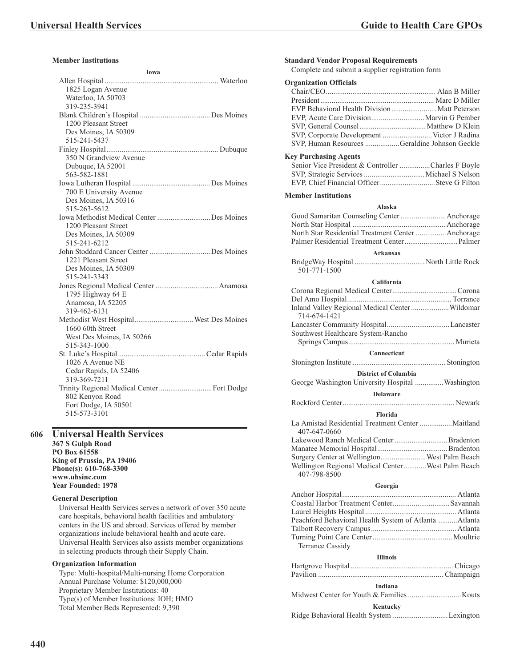# **Member Institutions**

| Iowa                                        |  |
|---------------------------------------------|--|
|                                             |  |
| 1825 Logan Avenue                           |  |
| Waterloo, IA 50703                          |  |
| 319-235-3941                                |  |
|                                             |  |
| 1200 Pleasant Street                        |  |
| Des Moines, IA 50309                        |  |
| 515-241-5437                                |  |
|                                             |  |
| 350 N Grandview Avenue                      |  |
| Dubuque, IA 52001                           |  |
| 563-582-1881                                |  |
|                                             |  |
| 700 E University Avenue                     |  |
| Des Moines, IA 50316                        |  |
| 515-263-5612                                |  |
| Iowa Methodist Medical Center Des Moines    |  |
| 1200 Pleasant Street                        |  |
| Des Moines, IA 50309                        |  |
| 515-241-6212                                |  |
|                                             |  |
| 1221 Pleasant Street                        |  |
| Des Moines, IA 50309                        |  |
| 515-241-3343                                |  |
|                                             |  |
| 1795 Highway 64 E                           |  |
| Anamosa, IA 52205                           |  |
| 319-462-6131                                |  |
|                                             |  |
| 1660 60th Street                            |  |
| West Des Moines, IA 50266                   |  |
| 515-343-1000                                |  |
|                                             |  |
| 1026 A Avenue NE                            |  |
| Cedar Rapids, IA 52406                      |  |
| 319-369-7211                                |  |
| Trinity Regional Medical Center  Fort Dodge |  |
| 802 Kenyon Road                             |  |
| Fort Dodge, IA 50501                        |  |
| 515-573-3101                                |  |
|                                             |  |

# **606 Universal Health Services**

**367 S Gulph Road PO Box 61558 King of Prussia, PA 19406 Phone(s): 610-768-3300 www.uhsinc.com Year Founded: 1978**

## **General Description**

Universal Health Services serves a network of over 350 acute care hospitals, behavioral health facilities and ambulatory centers in the US and abroad. Services offered by member organizations include behavioral health and acute care. Universal Health Services also assists member organizations in selecting products through their Supply Chain.

# **Organization Information**

Type: Multi-hospital/Multi-nursing Home Corporation Annual Purchase Volume: \$120,000,000 Proprietary Member Institutions: 40 Type(s) of Member Institutions: IOH; HMO Total Member Beds Represented: 9,390

| <b>Standard Vendor Proposal Requirements</b><br>Complete and submit a supplier registration form |  |  |  |
|--------------------------------------------------------------------------------------------------|--|--|--|
| <b>Organization Officials</b>                                                                    |  |  |  |
|                                                                                                  |  |  |  |
|                                                                                                  |  |  |  |
|                                                                                                  |  |  |  |
|                                                                                                  |  |  |  |
|                                                                                                  |  |  |  |
| SVP, Corporate Development  Victor J Radina                                                      |  |  |  |
| SVP, Human Resources Geraldine Johnson Geckle                                                    |  |  |  |
| <b>Key Purchasing Agents</b>                                                                     |  |  |  |
| Senior Vice President & Controller Charles F Boyle<br>EVP, Chief Financial OfficerSteve G Filton |  |  |  |
| <b>Member Institutions</b>                                                                       |  |  |  |
| Alaska                                                                                           |  |  |  |
|                                                                                                  |  |  |  |
|                                                                                                  |  |  |  |
| North Star Residential Treatment Center Anchorage                                                |  |  |  |

| Arkansas                                                                               |                             |  |  |
|----------------------------------------------------------------------------------------|-----------------------------|--|--|
| $\mathbf{D}_{\mathbf{u}}$ do $\mathbf{W}_{\alpha i}$ $\mathbf{U}_{\alpha \alpha}$ ital | $N$ orth $I$ ittle $D$ ools |  |  |

| 501-771-1500 |  |
|--------------|--|

#### **California**

| Inland Valley Regional Medical Center  Wildomar<br>714-674-1421   |  |  |  |
|-------------------------------------------------------------------|--|--|--|
|                                                                   |  |  |  |
| Southwest Healthcare System-Rancho                                |  |  |  |
|                                                                   |  |  |  |
| <b>Connecticut</b>                                                |  |  |  |
|                                                                   |  |  |  |
| <b>District of Columbia</b>                                       |  |  |  |
| George Washington University Hospital Washington                  |  |  |  |
| <b>Delaware</b>                                                   |  |  |  |
|                                                                   |  |  |  |
| Florida                                                           |  |  |  |
| 407-647-0660                                                      |  |  |  |
|                                                                   |  |  |  |
|                                                                   |  |  |  |
| Surgery Center at WellingtonWest Palm Beach                       |  |  |  |
| Wellington Regional Medical CenterWest Palm Beach<br>407-798-8500 |  |  |  |

#### **Georgia**

| Coastal Harbor Treatment Center Savannah              |  |  |
|-------------------------------------------------------|--|--|
|                                                       |  |  |
| Peachford Behavioral Health System of Atlanta Atlanta |  |  |
|                                                       |  |  |
|                                                       |  |  |
|                                                       |  |  |
| <b>Illinois</b>                                       |  |  |
|                                                       |  |  |
|                                                       |  |  |
| Indiana                                               |  |  |
|                                                       |  |  |
| Kentucky                                              |  |  |
| Ridge Behavioral Health System Lexington              |  |  |
|                                                       |  |  |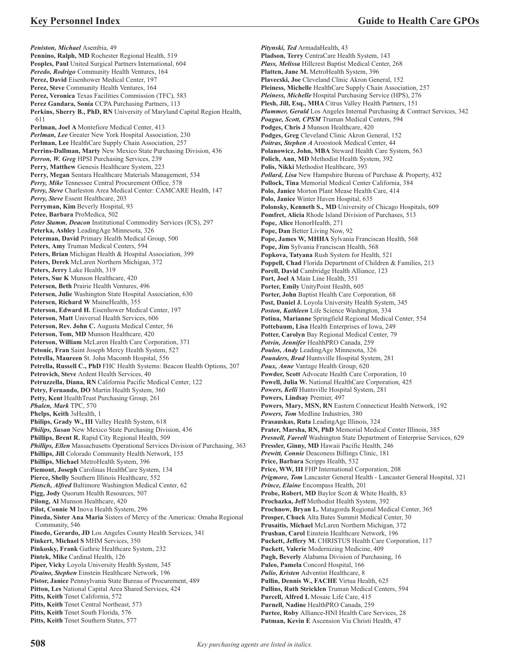*Peniston, Michael* Asembia, 49 **Pennino, Ralph, MD** Rochester Regional Health, 519 **Peoples, Paul** United Surgical Partners International, 604 *Peredo, Rodrigo* Community Health Ventures, 164 **Perez, David** Eisenhower Medical Center, 197 **Perez, Steve** Community Health Ventures, 164 **Perez, Veronica** Texas Facilities Commission (TFC), 583 **Perez Gandara, Sonia** CCPA Purchasing Partners, 113 **Perkins, Sherry B., PhD, RN** University of Maryland Capital Region Health, 611 **Perlman, Joel A** Montefiore Medical Center, 413 *Perlman, Lee* Greater New York Hospital Association, 230 **Perlman, Lee** HealthCare Supply Chain Association, 257 **Perrins-Dallman, Marty** New Mexico State Purchasing Division, 436 *Perron, W. Greg* HPSI Purchasing Services, 239 Perry, Matthew Genesis Healthcare System, 223 **Perry, Megan** Sentara Healthcare Materials Management, 534 *Perry, Mike* Tennessee Central Procurement Office, 578 *Perry, Steve* Charleston Area Medical Center: CAMCARE Health, 147 *Perry, Steve* Essent Healthcare, 203 **Perryman, Kim** Beverly Hospital, 93 **Petee, Barbara** ProMedica, 502 *Peter Stamm, Deacon* Institutional Commodity Services (ICS), 297 **Peterka, Ashley** LeadingAge Minnesota, 326 **Peterman, David** Primary Health Medical Group, 500 **Peters, Amy** Truman Medical Centers, 594 **Peters, Brian** Michigan Health & Hospital Association, 399 **Peters, Derek** McLaren Northern Michigan, 372 **Peters, Jerry** Lake Health, 319 **Peters, Sue K** Munson Healthcare, 420 **Petersen, Beth** Prairie Health Ventures, 496 **Petersen, Julie** Washington State Hospital Association, 630 **Petersen, Richard W** MaineHealth, 355 **Peterson, Edward H.** Eisenhower Medical Center, 197 **Peterson, Matt** Universal Health Services, 606 **Peterson, Rev. John C.** Augusta Medical Center, 56 **Peterson, Tom, MD** Munson Healthcare, 420 **Peterson, William** McLaren Health Care Corporation, 371 **Petonic, Fran** Saint Joseph Mercy Health System, 527 **Petrella, Maureen** St. John Macomb Hospital, 556 **Petrella, Russell C., PhD** FHC Health Systems: Beacon Health Options, 207 **Petrovich, Steve** Ardent Health Services, 40 **Petruzzella, Diana, RN** California Pacific Medical Center, 122 **Petry, Fernando, DO** Martin Health System, 360 **Petty, Kent** HealthTrust Purchasing Group, 261 *Phalen, Mark* TPC, 570 **Phelps, Keith** 3sHealth, 1 **Philips, Grady W., III** Valley Health System, 618 *Philips, Susan* New Mexico State Purchasing Division, 436 **Phillips, Brent R.** Rapid City Regional Health, 509 *Phillips, Ellen* Massachusetts Operational Services Division of Purchasing, 363 **Phillips, Jill** Colorado Community Health Network, 155 **Phillips, Michael** MetroHealth System, 396 **Piemont, Joseph** Carolinas HealthCare System, 134 **Pierce, Shelly** Southern Illinois Healthcare, 552 *Pietsch, Alfred* Baltimore Washington Medical Center, 62 **Pigg, Jody** Quorum Health Resources, 507 **Pilong, Al** Munson Healthcare, 420 **Pilot, Connie M** Inova Health System, 296 **Pineda, Sister Ana Maria** Sisters of Mercy of the Americas: Omaha Regional Community, 546 **Pinedo, Gerardo, JD** Los Angeles County Health Services, 341 **Pinkert, Michael S** MHM Services, 350 **Pinkosky, Frank** Guthrie Healthcare System, 232 **Pintek, Mike** Cardinal Health, 126 **Piper, Vicky** Loyola University Health System, 345 *Piraino, Stephen* Einstein Healthcare Network, 196 **Pistor, Janice** Pennsylvania State Bureau of Procurement, 489 **Pitton, Les** National Capital Area Shared Services, 424 **Pitts, Keith** Tenet California, 572 **Pitts, Keith** Tenet Central Northeast, 573 **Pitts, Keith** Tenet South Florida, 576 **Pitts, Keith** Tenet Southern States, 577

*Pitynski, Ted* ArmadaHealth, 43 **Pladson, Terry** CentraCare Health System, 143 *Plass, Melissa* Hillcrest Baptist Medical Center, 268 **Platten, Jane M.** MetroHealth System, 396 **Plavecski, Joe** Cleveland Clinic Akron General, 152 **Pleiness, Michelle** HealthCare Supply Chain Association, 257 *Pleiness, Michelle* Hospital Purchasing Service (HPS), 276 **Plesh, Jill, Esq., MHA** Citrus Valley Health Partners, 151 *Plummer, Gerald* Los Angeles Internal Purchasing & Contract Services, 342 *Poague, Scott, CPSM* Truman Medical Centers, 594 **Podges, Chris J** Munson Healthcare, 420 **Podges, Greg** Cleveland Clinic Akron General, 152 *Poitras, Stephen A* Aroostook Medical Center, 44 **Polanowicz, John, MBA** Steward Health Care System, 563 **Polich, Ann, MD** Methodist Health System, 392 **Polis, Nikki** Methodist Healthcare, 393 *Pollard, Lisa* New Hampshire Bureau of Purchase & Property, 432 **Pollock, Tina** Memorial Medical Center California, 384 **Polo, Janice** Morton Plant Mease Health Care, 414 **Polo, Janice** Winter Haven Hospital, 635 **Polonsky, Kenneth S., MD** University of Chicago Hospitals, 609 **Pomfret, Alicia** Rhode Island Division of Purchases, 513 **Pope, Alice** HonorHealth, 271 **Pope, Dan** Better Living Now, 92 **Pope, James W, MHHA** Sylvania Franciscan Health, 568 **Pope, Jim** Sylvania Franciscan Health, 568 **Popkova, Tatyana** Rush System for Health, 521 **Poppell, Chad** Florida Department of Children & Families, 213 **Porell, David** Cambridge Health Alliance, 123 **Port, Joel A** Main Line Health, 351 **Porter, Emily** UnityPoint Health, 605 **Porter, John** Baptist Health Care Corporation, 68 **Post, Daniel J.** Loyola University Health System, 345 *Poston, Kathleen* Life Science Washington, 334 **Potina, Marianne** Springfield Regional Medical Center, 554 **Pottebaum, Lisa** Health Enterprises of Iowa, 249 **Potter, Carolyn** Bay Regional Medical Center, 79 *Potvin, Jennifer* HealthPRO Canada, 259 *Poulos, Andy* LeadingAge Minnesota, 326 *Pounders, Brad* Huntsville Hospital System, 281 *Poux, Anne* Vantage Health Group, 620 **Powder, Scott** Advocate Health Care Corporation, 10 **Powell, Julia W.** National HealthCare Corporation, 425 *Powers, Kelli* Huntsville Hospital System, 281 **Powers, Lindsay** Premier, 497 **Powers, Mary, MSN, RN** Eastern Connecticut Health Network, 192 *Powers, Tom* Medline Industries, 380 **Prasauskas, Ruta** LeadingAge Illinois, 324 **Prater, Marsha, RN, PhD** Memorial Medical Center Illinois, 385 *Presnell, Farrell* Washington State Department of Enterprise Services, 629 **Pressler, Ginny, MD** Hawaii Pacific Health, 246 *Prewitt, Connie* Deaconess Billings Clinic, 181 **Price, Barbara** Scripps Health, 532 **Price, WW, III** FHP International Corporation, 208 *Prigmore, Tom* Lancaster General Health - Lancaster General Hospital, 321 *Prince, Elaine* Encompass Health, 201 **Probe, Robert, MD** Baylor Scott & White Health, 83 **Prochazka, Jeff** Methodist Health System, 392 **Prochnow, Bryan L.** Matagorda Regional Medical Center, 365 **Prosper, Chuck** Alta Bates Summit Medical Center, 30 **Prusaitis, Michael** McLaren Northern Michigan, 372 **Prushan, Carol** Einstein Healthcare Network, 196 **Puckett, Jeffery M.** CHRISTUS Health Care Corporation, 117 **Puckett, Valerie** Modernizing Medicine, 409 **Pugh, Beverly** Alabama Division of Purchasing, 16 **Puleo, Pamela** Concord Hospital, 166 *Pulio, Kristen* Adventist Healthcare, 8 **Pullin, Dennis W., FACHE** Virtua Health, 625 **Pullins, Ruth Stricklen** Truman Medical Centers, 594 **Purcell, Alfred L** Mosaic Life Care, 415 **Purnell, Nadine** HealthPRO Canada, 259 **Purtee, Roby** Alliance-HNI Health Care Services, 28 **Putman, Kevin E** Ascension Via Christi Health, 47